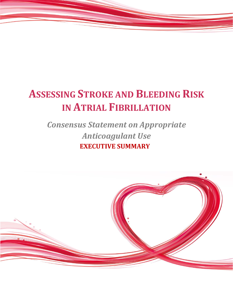# **ASSESSING STROKE AND BLEEDING RISK IN ATRIAL FIBRILLATION**

## *Consensus Statement on Appropriate Anticoagulant Use*  **EXECUTIVE SUMMARY**

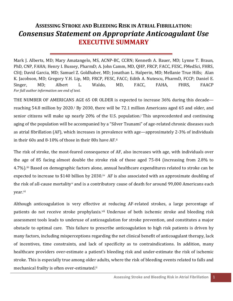### **ASSESSING STROKE AND BLEEDING RISK IN ATRIAL FIBRILLATION:** *Consensus Statement on Appropriate Anticoagulant Use* **EXECUTIVE SUMMARY**

Mark J. Alberts, MD; Mary Amatangelo, MS, ACNP-BC, CCRN; Kenneth A. Bauer, MD; Lynne T. Braun, PhD, CNP, FAHA; Henry I. Bussey, PharmD; A. John Camm, MD, QHP, FRCP, FACC, FESC, FMedSci, FHRS, CStJ; David Garcia, MD; Samuel Z. Goldhaber, MD; Jonathan L. Halperin, MD; Mellanie True Hills; Alan K. Jacobson, MD; Gregory Y.H. Lip, MD, FRCP, FESC, FACC; Edith A. Nutescu, PharmD, FCCP; Daniel E. Singer, MD; Albert L. Waldo, MD, FACC, FAHA, FHRS, FAACP *For full author information see end of text.*

THE NUMBER OF AMERICANS AGE 65 OR OLDER is expected to increase 36% during this decade reaching 54.8 million by 2020.[i](#page-5-0) By 2030, there will be 72.1 million Americans aged 65 and older, and senior citizens will make up nearly 20% of the U.S. population.<sup>i</sup> This unprecedented and continuing aging of the population will be accompanied by a "Silver Tsunami" of age-related chronic diseases such as atrial fibrillation (AF), which increases in prevalence with age—approximately 2-3% of individuals in their 60s and 8-10% of those in their 80s have AF.[ii](#page-5-1)

The risk of stroke, the most-feared consequence of AF, also increases with age, with individuals over the age of 85 facing almost double the stroke risk of those aged 75-84 (increasing from 2.8% to 4.7%).[iii](#page-5-2) Based on demographic factors alone, annual healthcare expenditures related to stroke can be expected to increase to \$140 billion by 2030.<sup>[iv](#page-5-3)</sup> AF is also associated with an approximate doubling of the risk of all-cause mortality[v](#page-5-4) and is a contributory cause of death for around 99,000 Americans each year.[vi](#page-5-5)

Although anticoagulation is very effective at reducing AF-related strokes, a large percentage of patients do not receive stroke prophylaxis.<sup>[vii](#page-5-6)</sup> Underuse of both ischemic stroke and bleeding risk assessment tools leads to underuse of anticoagulation for stroke prevention, and constitutes a major obstacle to optimal care. This failure to prescribe anticoagulation to high risk patients is driven by many factors, including misperceptions regarding the net clinical benefit of anticoagulant therapy, lack of incentives, time constraints, and lack of specificity as to contraindications. In addition, many healthcare providers over-estimate a patient's bleeding risk and under-estimate the risk of ischemic stroke. This is especially true among older adults, where the risk of bleeding events related to falls and mechanical frailty is often over-estimated.<sup>11</sup>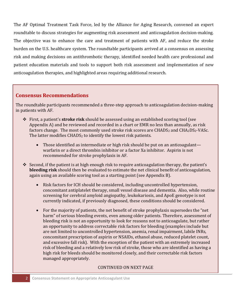The AF Optimal Treatment Task Force, led by the Alliance for Aging Research, convened an expert roundtable to discuss strategies for augmenting risk assessment and anticoagulation decision-making. The objective was to enhance the care and treatment of patients with AF, and reduce the stroke burden on the U.S. healthcare system. The roundtable participants arrived at a consensus on assessing risk and making decisions on antithrombotic therapy, identified needed health care professional and patient education materials and tools to support both risk assessment and implementation of new anticoagulation therapies, and highlighted areas requiring additional research.

#### **Consensus Recommendations**

The roundtable participants recommended a three-step approach to anticoagulation decision-making in patients with AF.

- First, a patient's **stroke risk** should be assessed using an established scoring tool (see Appendix A) and be reviewed and recorded in a chart or EMR no less than annually, as risk factors change. The most commonly used stroke risk scores are  $CHADS<sub>2</sub>$  and  $CHA<sub>2</sub>DS<sub>2</sub>-VASC$ . The latter modifies  $CHADS<sub>2</sub>$  to identify the lowest risk patients.
	- Those identified as intermediate or high risk should be put on an anticoagulant warfarin or a direct thrombin inhibitor or a factor Xa inhibitor. Aspirin is not recommended for stroke prophylaxis in AF.
- Second, if the patient is at high enough risk to require anticoagulation therapy, the patient's **bleeding risk** should then be evaluated to estimate the net clinical benefit of anticoagulation, again using an available scoring tool as a starting point (see Appendix B).
	- Risk factors for ICH should be considered, including uncontrolled hypertension, concomitant antiplatelet therapy, small vessel disease and dementia. Also, while routine screening for cerebral amyloid angiopathy, leukokariosis, and ApoE genotype is not currently indicated, if previously diagnosed, these conditions should be considered.
	- For the majority of patients, the net benefit of stroke prophylaxis supersedes the "net harm" of serious bleeding events, even among older patients. Therefore, assessment of bleeding risk is not an opportunity to look for reasons not to anticoagulate, but rather an opportunity to address correctable risk factors for bleeding (examples include but are not limited to uncontrolled hypertension, anemia, renal impairment, labile INRs, concomitant prescription of aspirin or NSAIDs, ethanol abuse, reduced platelet count, and excessive fall risk). With the exception of the patient with an extremely increased risk of bleeding and a relatively low risk of stroke, those who are identified as having a high risk for bleeds should be monitored closely, and their correctable risk factors managed appropriately.

#### CONTINUED ON NEXT PAGE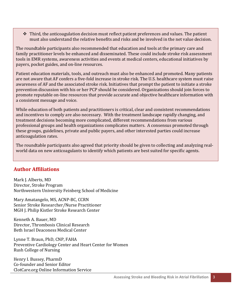$\hat{\mathbf{v}}$  Third, the anticoagulation decision must reflect patient preferences and values. The patient must also understand the relative benefits and risks and be involved in the net value decision.

The roundtable participants also recommended that education and tools at the primary care and family practitioner levels be enhanced and disseminated. These could include stroke risk assessment tools in EMR systems, awareness activities and events at medical centers, educational initiatives by payers, pocket guides, and on-line resources.

Patient education materials, tools, and outreach must also be enhanced and promoted. Many patients are not aware that AF confers a five-fold increase in stroke risk. The U.S. healthcare system must raise awareness of AF and the associated stroke risk. Initiatives that prompt the patient to initiate a stroke prevention discussion with his or her PCP should be considered. Organizations should join forces to promote reputable on-line resources that provide accurate and objective healthcare information with a consistent message and voice.

While education of both patients and practitioners is critical, clear and consistent recommendations and incentives to comply are also necessary. With the treatment landscape rapidly changing, and treatment decisions becoming more complicated, different recommendations from various professional groups and health organizations complicates matters. A consensus promoted through these groups, guidelines, private and public payers, and other interested parties could increase anticoagulation rates.

The roundtable participants also agreed that priority should be given to collecting and analyzing realworld data on new anticoagulants to identify which patients are best suited for specific agents.

#### **Author Affiliations**

Mark J. Alberts, MD Director, Stroke Program Northwestern University Feinberg School of Medicine

Mary Amatangelo, MS, ACNP-BC, CCRN Senior Stroke Researcher/Nurse Practitioner MGH J. Philip Kistler Stroke Research Center

Kenneth A. Bauer, MD Director, Thrombosis Clinical Research Beth Israel Deaconess Medical Center

Lynne T. Braun, PhD, CNP, FAHA Preventive Cardiology Center and Heart Center for Women Rush College of Nursing

Henry I. Bussey, PharmD Co-founder and Senior Editor ClotCare.org Online Information Service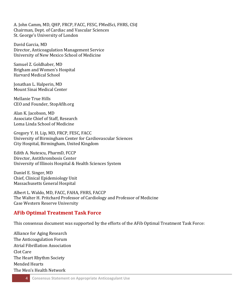A. John Camm, MD, QHP, FRCP, FACC, FESC, FMedSci, FHRS, CStJ Chairman, Dept. of Cardiac and Vascular Sciences St. George's University of London

David Garcia, MD Director, Anticoagulation Management Service University of New Mexico School of Medicine

Samuel Z. Goldhaber, MD Brigham and Women's Hospital Harvard Medical School

Jonathan L. Halperin, MD Mount Sinai Medical Center

Mellanie True Hills CEO and Founder, StopAfib.org

Alan K. Jacobson, MD Associate Chief of Staff, Research Loma Linda School of Medicine

Gregory Y. H. Lip, MD, FRCP, FESC, FACC University of Birmingham Center for Cardiovascular Sciences City Hospital, Birmingham, United Kingdom

Edith A. Nutescu, PharmD, FCCP Director, Antithrombosis Center University of Illinois Hospital & Health Sciences System

Daniel E. Singer, MD Chief, Clinical Epidemiology Unit Massachusetts General Hospital

Albert L. Waldo, MD, FACC, FAHA, FHRS, FACCP The Walter H. Pritchard Professor of Cardiology and Professor of Medicine Case Western Reserve University

#### **AFib Optimal Treatment Task Force**

This consensus document was supported by the efforts of the AFib Optimal Treatment Task Force:

Alliance for Aging Research The Anticoagulation Forum Atrial Fibrillation Association Clot Care The Heart Rhythm Society Mended Hearts The Men's Health Network